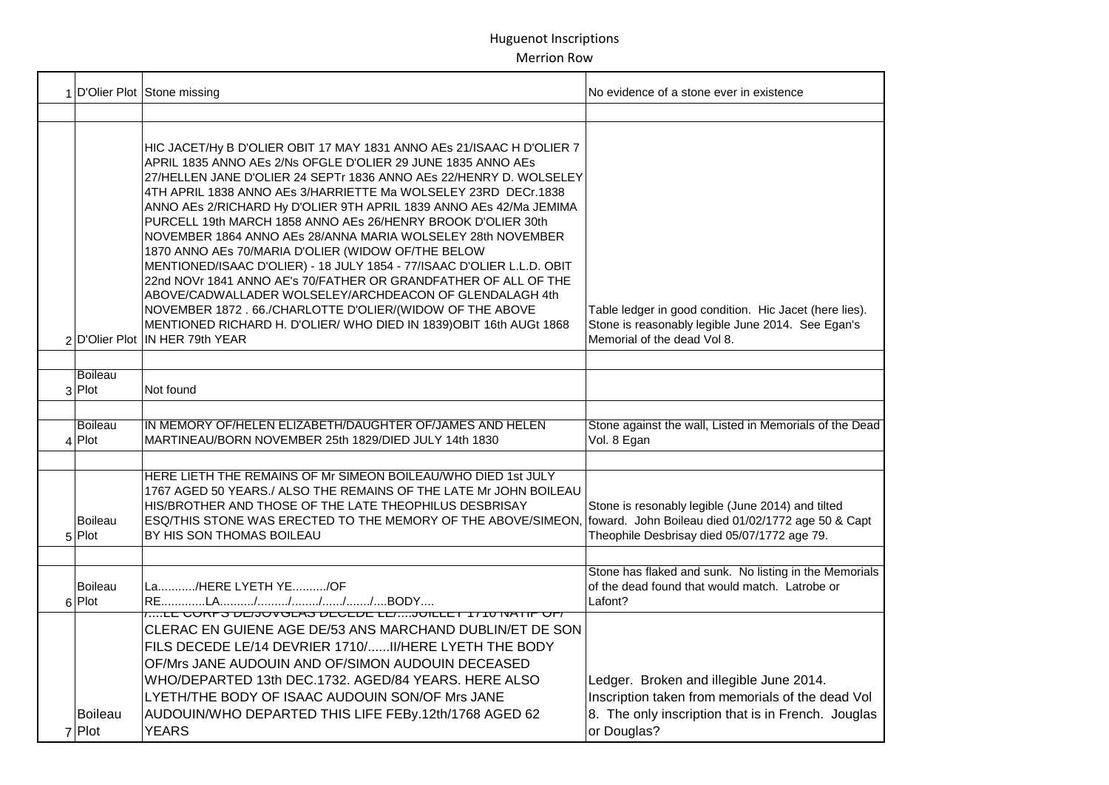|                            | 1 D'Olier Plot Stone missing                                                                                                                                                                                                                                                                                                                                                                                                                                                                                                                                                                                                                                                                                                                                                                                                                                                                                            | No evidence of a stone ever in existence                                                                                                                         |
|----------------------------|-------------------------------------------------------------------------------------------------------------------------------------------------------------------------------------------------------------------------------------------------------------------------------------------------------------------------------------------------------------------------------------------------------------------------------------------------------------------------------------------------------------------------------------------------------------------------------------------------------------------------------------------------------------------------------------------------------------------------------------------------------------------------------------------------------------------------------------------------------------------------------------------------------------------------|------------------------------------------------------------------------------------------------------------------------------------------------------------------|
|                            |                                                                                                                                                                                                                                                                                                                                                                                                                                                                                                                                                                                                                                                                                                                                                                                                                                                                                                                         |                                                                                                                                                                  |
|                            | HIC JACET/Hy B D'OLIER OBIT 17 MAY 1831 ANNO AES 21/ISAAC H D'OLIER 7<br>APRIL 1835 ANNO AEs 2/Ns OFGLE D'OLIER 29 JUNE 1835 ANNO AEs<br>27/HELLEN JANE D'OLIER 24 SEPTr 1836 ANNO AES 22/HENRY D. WOLSELEY<br>4TH APRIL 1838 ANNO AEs 3/HARRIETTE Ma WOLSELEY 23RD DECr.1838<br>ANNO AES 2/RICHARD Hy D'OLIER 9TH APRIL 1839 ANNO AES 42/Ma JEMIMA<br>PURCELL 19th MARCH 1858 ANNO AEs 26/HENRY BROOK D'OLIER 30th<br>NOVEMBER 1864 ANNO AEs 28/ANNA MARIA WOLSELEY 28th NOVEMBER<br>1870 ANNO AEs 70/MARIA D'OLIER (WIDOW OF/THE BELOW<br>MENTIONED/ISAAC D'OLIER) - 18 JULY 1854 - 77/ISAAC D'OLIER L.L.D. OBIT<br>22nd NOVr 1841 ANNO AE's 70/FATHER OR GRANDFATHER OF ALL OF THE<br>ABOVE/CADWALLADER WOLSELEY/ARCHDEACON OF GLENDALAGH 4th<br>NOVEMBER 1872 . 66./CHARLOTTE D'OLIER/(WIDOW OF THE ABOVE<br>MENTIONED RICHARD H. D'OLIER/ WHO DIED IN 1839) OBIT 16th AUGt 1868<br>2 D'Olier Plot IN HER 79th YEAR | Table ledger in good condition. Hic Jacet (here lies).<br>Stone is reasonably legible June 2014. See Egan's<br>Memorial of the dead Vol 8.                       |
| <b>Boileau</b>             |                                                                                                                                                                                                                                                                                                                                                                                                                                                                                                                                                                                                                                                                                                                                                                                                                                                                                                                         |                                                                                                                                                                  |
| $3$ Plot                   | Not found                                                                                                                                                                                                                                                                                                                                                                                                                                                                                                                                                                                                                                                                                                                                                                                                                                                                                                               |                                                                                                                                                                  |
| <b>Boileau</b><br>$4$ Plot | IN MEMORY OF/HELEN ELIZABETH/DAUGHTER OF/JAMES AND HELEN<br>MARTINEAU/BORN NOVEMBER 25th 1829/DIED JULY 14th 1830                                                                                                                                                                                                                                                                                                                                                                                                                                                                                                                                                                                                                                                                                                                                                                                                       | Stone against the wall, Listed in Memorials of the Dead<br>Vol. 8 Egan                                                                                           |
| Boileau<br>$5$ Plot        | HERE LIETH THE REMAINS OF Mr SIMEON BOILEAU/WHO DIED 1st JULY<br>1767 AGED 50 YEARS./ ALSO THE REMAINS OF THE LATE Mr JOHN BOILEAU<br>HIS/BROTHER AND THOSE OF THE LATE THEOPHILUS DESBRISAY<br>ESQ/THIS STONE WAS ERECTED TO THE MEMORY OF THE ABOVE/SIMEON,<br>BY HIS SON THOMAS BOILEAU                                                                                                                                                                                                                                                                                                                                                                                                                                                                                                                                                                                                                              | Stone is resonably legible (June 2014) and tilted<br>foward. John Boileau died 01/02/1772 age 50 & Capt<br>Theophile Desbrisay died 05/07/1772 age 79.           |
| <b>Boileau</b><br>6 Plot   | La/HERE LYETH YE/OF                                                                                                                                                                                                                                                                                                                                                                                                                                                                                                                                                                                                                                                                                                                                                                                                                                                                                                     | Stone has flaked and sunk. No listing in the Memorials<br>of the dead found that would match. Latrobe or<br>Lafont?                                              |
| <b>Boileau</b><br>$7$ Plot | <u> ,LE GORPS DE/JOVGLAS DEGEDE LE/JUILLET T/TU IVATIP OF/</u><br>CLERAC EN GUIENE AGE DE/53 ANS MARCHAND DUBLIN/ET DE SON<br>FILS DECEDE LE/14 DEVRIER 1710/ II/HERE LYETH THE BODY<br>OF/Mrs JANE AUDOUIN AND OF/SIMON AUDOUIN DECEASED<br>WHO/DEPARTED 13th DEC.1732. AGED/84 YEARS. HERE ALSO<br>LYETH/THE BODY OF ISAAC AUDOUIN SON/OF Mrs JANE<br>AUDOUIN/WHO DEPARTED THIS LIFE FEBy.12th/1768 AGED 62<br><b>YEARS</b>                                                                                                                                                                                                                                                                                                                                                                                                                                                                                           | Ledger. Broken and illegible June 2014.<br>Inscription taken from memorials of the dead Vol<br>8. The only inscription that is in French. Jouglas<br>or Douglas? |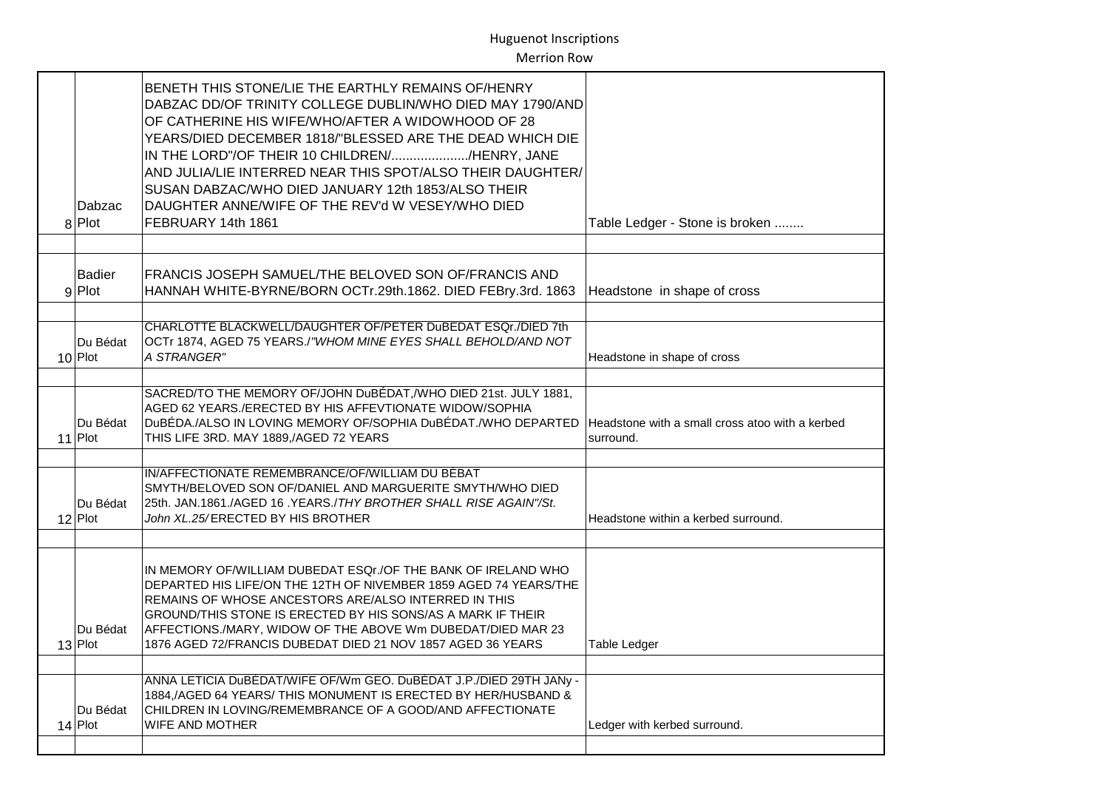| Dabzac<br>8 Plot          | BENETH THIS STONE/LIE THE EARTHLY REMAINS OF/HENRY<br>DABZAC DD/OF TRINITY COLLEGE DUBLIN/WHO DIED MAY 1790/AND<br>OF CATHERINE HIS WIFE/WHO/AFTER A WIDOWHOOD OF 28<br>YEARS/DIED DECEMBER 1818/"BLESSED ARE THE DEAD WHICH DIE<br>IN THE LORD"/OF THEIR 10 CHILDREN//HENRY, JANE<br>AND JULIA/LIE INTERRED NEAR THIS SPOT/ALSO THEIR DAUGHTER/<br>SUSAN DABZAC/WHO DIED JANUARY 12th 1853/ALSO THEIR<br>DAUGHTER ANNE/WIFE OF THE REV'd W VESEY/WHO DIED<br>FEBRUARY 14th 1861 | Table Ledger - Stone is broken                               |
|---------------------------|----------------------------------------------------------------------------------------------------------------------------------------------------------------------------------------------------------------------------------------------------------------------------------------------------------------------------------------------------------------------------------------------------------------------------------------------------------------------------------|--------------------------------------------------------------|
|                           |                                                                                                                                                                                                                                                                                                                                                                                                                                                                                  |                                                              |
| <b>Badier</b><br>$9$ Plot | FRANCIS JOSEPH SAMUEL/THE BELOVED SON OF/FRANCIS AND<br>HANNAH WHITE-BYRNE/BORN OCTr.29th.1862. DIED FEBry.3rd. 1863                                                                                                                                                                                                                                                                                                                                                             | Headstone in shape of cross                                  |
|                           |                                                                                                                                                                                                                                                                                                                                                                                                                                                                                  |                                                              |
| Du Bédat<br>$10$ Plot     | CHARLOTTE BLACKWELL/DAUGHTER OF/PETER DuBEDAT ESQr./DIED 7th<br>OCTr 1874, AGED 75 YEARS./"WHOM MINE EYES SHALL BEHOLD/AND NOT<br>A STRANGER"                                                                                                                                                                                                                                                                                                                                    | Headstone in shape of cross                                  |
|                           |                                                                                                                                                                                                                                                                                                                                                                                                                                                                                  |                                                              |
| Du Bédat<br>$11$ Plot     | SACRED/TO THE MEMORY OF/JOHN DuBÉDAT, /WHO DIED 21st. JULY 1881,<br>AGED 62 YEARS./ERECTED BY HIS AFFEVTIONATE WIDOW/SOPHIA<br>DUBÉDA./ALSO IN LOVING MEMORY OF/SOPHIA DUBÉDAT./WHO DEPARTED<br>THIS LIFE 3RD. MAY 1889,/AGED 72 YEARS                                                                                                                                                                                                                                           | Headstone with a small cross atoo with a kerbed<br>surround. |
|                           |                                                                                                                                                                                                                                                                                                                                                                                                                                                                                  |                                                              |
| Du Bédat<br>$12$ Plot     | IN/AFFECTIONATE REMEMBRANCE/OF/WILLIAM DU BÉBAT<br>SMYTH/BELOVED SON OF/DANIEL AND MARGUERITE SMYTH/WHO DIED<br>25th. JAN.1861./AGED 16. YEARS./THY BROTHER SHALL RISE AGAIN"/St.<br>John XL.25/ERECTED BY HIS BROTHER                                                                                                                                                                                                                                                           | Headstone within a kerbed surround.                          |
|                           |                                                                                                                                                                                                                                                                                                                                                                                                                                                                                  |                                                              |
| Du Bédat<br>$13$ Plot     | IN MEMORY OF/WILLIAM DUBEDAT ESQr./OF THE BANK OF IRELAND WHO<br>DEPARTED HIS LIFE/ON THE 12TH OF NIVEMBER 1859 AGED 74 YEARS/THE<br>REMAINS OF WHOSE ANCESTORS ARE/ALSO INTERRED IN THIS<br>GROUND/THIS STONE IS ERECTED BY HIS SONS/AS A MARK IF THEIR<br>AFFECTIONS./MARY, WIDOW OF THE ABOVE Wm DUBEDAT/DIED MAR 23<br>1876 AGED 72/FRANCIS DUBEDAT DIED 21 NOV 1857 AGED 36 YEARS                                                                                           | <b>Table Ledger</b>                                          |
|                           |                                                                                                                                                                                                                                                                                                                                                                                                                                                                                  |                                                              |
| Du Bédat<br>$14$ Plot     | ANNA LETICIA DUBÉDAT/WIFE OF/Wm GEO. DUBÉDAT J.P./DIED 29TH JANy -<br>1884,/AGED 64 YEARS/ THIS MONUMENT IS ERECTED BY HER/HUSBAND &<br>CHILDREN IN LOVING/REMEMBRANCE OF A GOOD/AND AFFECTIONATE<br>WIFE AND MOTHER                                                                                                                                                                                                                                                             | Ledger with kerbed surround.                                 |
|                           |                                                                                                                                                                                                                                                                                                                                                                                                                                                                                  |                                                              |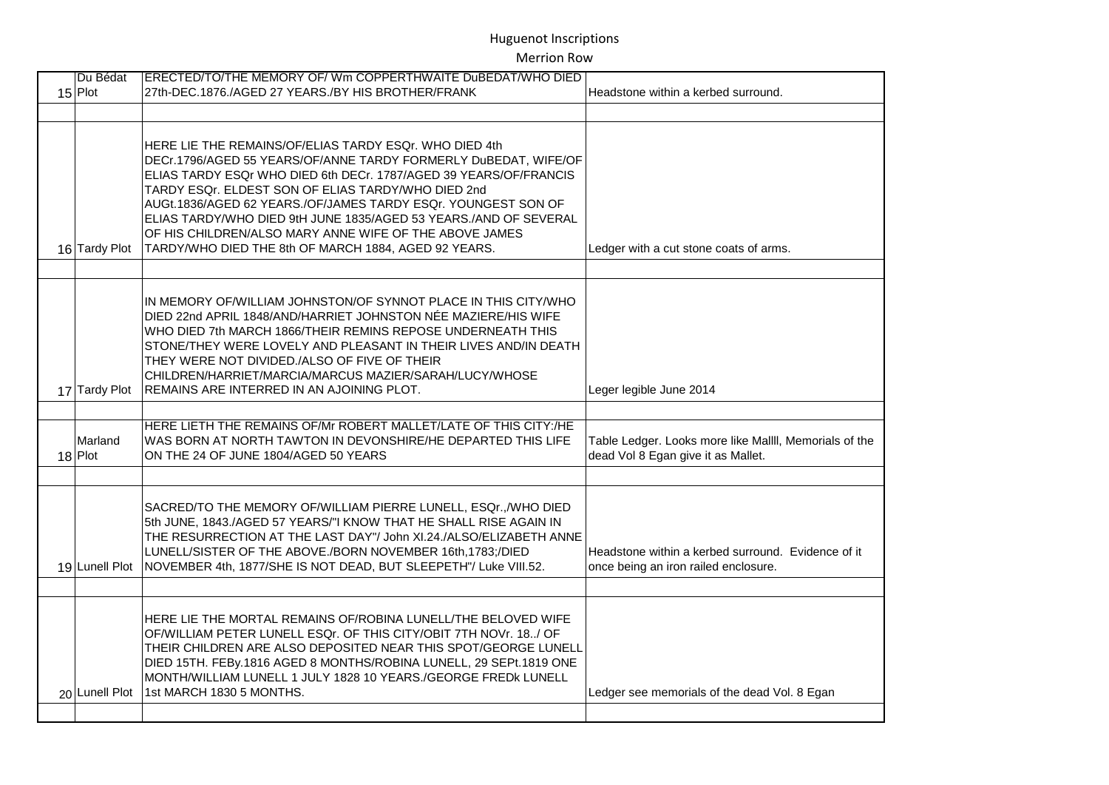| Du Bédat<br>$15$ Plot | ERECTED/TO/THE MEMORY OF/ Wm COPPERTHWAITE DuBEDAT/WHO DIED<br>27th-DEC.1876./AGED 27 YEARS./BY HIS BROTHER/FRANK                                                                                                                                                                                                                                                                                                                                                                                           | Headstone within a kerbed surround.                                                          |
|-----------------------|-------------------------------------------------------------------------------------------------------------------------------------------------------------------------------------------------------------------------------------------------------------------------------------------------------------------------------------------------------------------------------------------------------------------------------------------------------------------------------------------------------------|----------------------------------------------------------------------------------------------|
|                       |                                                                                                                                                                                                                                                                                                                                                                                                                                                                                                             |                                                                                              |
| 16 Tardy Plot         | HERE LIE THE REMAINS/OF/ELIAS TARDY ESQr. WHO DIED 4th<br>DECr.1796/AGED 55 YEARS/OF/ANNE TARDY FORMERLY DuBEDAT, WIFE/OF<br>ELIAS TARDY ESQr WHO DIED 6th DECr. 1787/AGED 39 YEARS/OF/FRANCIS<br>TARDY ESQr. ELDEST SON OF ELIAS TARDY/WHO DIED 2nd<br>AUGt.1836/AGED 62 YEARS./OF/JAMES TARDY ESQr. YOUNGEST SON OF<br>ELIAS TARDY/WHO DIED 9tH JUNE 1835/AGED 53 YEARS./AND OF SEVERAL<br>OF HIS CHILDREN/ALSO MARY ANNE WIFE OF THE ABOVE JAMES<br>TARDY/WHO DIED THE 8th OF MARCH 1884, AGED 92 YEARS. | Ledger with a cut stone coats of arms.                                                       |
| 17 Tardy Plot         | IN MEMORY OF/WILLIAM JOHNSTON/OF SYNNOT PLACE IN THIS CITY/WHO<br>DIED 22nd APRIL 1848/AND/HARRIET JOHNSTON NÉE MAZIERE/HIS WIFE<br>WHO DIED 7th MARCH 1866/THEIR REMINS REPOSE UNDERNEATH THIS<br>STONE/THEY WERE LOVELY AND PLEASANT IN THEIR LIVES AND/IN DEATH<br>THEY WERE NOT DIVIDED./ALSO OF FIVE OF THEIR<br>CHILDREN/HARRIET/MARCIA/MARCUS MAZIER/SARAH/LUCY/WHOSE<br>REMAINS ARE INTERRED IN AN AJOINING PLOT.                                                                                   | Leger legible June 2014                                                                      |
|                       |                                                                                                                                                                                                                                                                                                                                                                                                                                                                                                             |                                                                                              |
| Marland<br>$18$ Plot  | HERE LIETH THE REMAINS OF/Mr ROBERT MALLET/LATE OF THIS CITY:/HE<br>WAS BORN AT NORTH TAWTON IN DEVONSHIRE/HE DEPARTED THIS LIFE<br>ON THE 24 OF JUNE 1804/AGED 50 YEARS                                                                                                                                                                                                                                                                                                                                    | Table Ledger. Looks more like Mallll, Memorials of the<br>dead Vol 8 Egan give it as Mallet. |
|                       |                                                                                                                                                                                                                                                                                                                                                                                                                                                                                                             |                                                                                              |
|                       | SACRED/TO THE MEMORY OF/WILLIAM PIERRE LUNELL, ESQr., /WHO DIED<br>5th JUNE, 1843./AGED 57 YEARS/"I KNOW THAT HE SHALL RISE AGAIN IN<br>THE RESURRECTION AT THE LAST DAY"/ John XI.24./ALSO/ELIZABETH ANNE<br>LUNELL/SISTER OF THE ABOVE./BORN NOVEMBER 16th, 1783;/DIED<br>19 Lunell Plot NOVEMBER 4th, 1877/SHE IS NOT DEAD, BUT SLEEPETH"/ Luke VIII.52.                                                                                                                                                 | Headstone within a kerbed surround. Evidence of it<br>once being an iron railed enclosure.   |
|                       |                                                                                                                                                                                                                                                                                                                                                                                                                                                                                                             |                                                                                              |
| 20 Lunell Plot        | HERE LIE THE MORTAL REMAINS OF/ROBINA LUNELL/THE BELOVED WIFE<br>OF/WILLIAM PETER LUNELL ESQr. OF THIS CITY/OBIT 7TH NOVr. 18/ OF<br>THEIR CHILDREN ARE ALSO DEPOSITED NEAR THIS SPOT/GEORGE LUNELL<br>DIED 15TH. FEBy.1816 AGED 8 MONTHS/ROBINA LUNELL, 29 SEPt.1819 ONE<br>MONTH/WILLIAM LUNELL 1 JULY 1828 10 YEARS./GEORGE FREDK LUNELL<br>1st MARCH 1830 5 MONTHS.                                                                                                                                     | Ledger see memorials of the dead Vol. 8 Egan                                                 |
|                       |                                                                                                                                                                                                                                                                                                                                                                                                                                                                                                             |                                                                                              |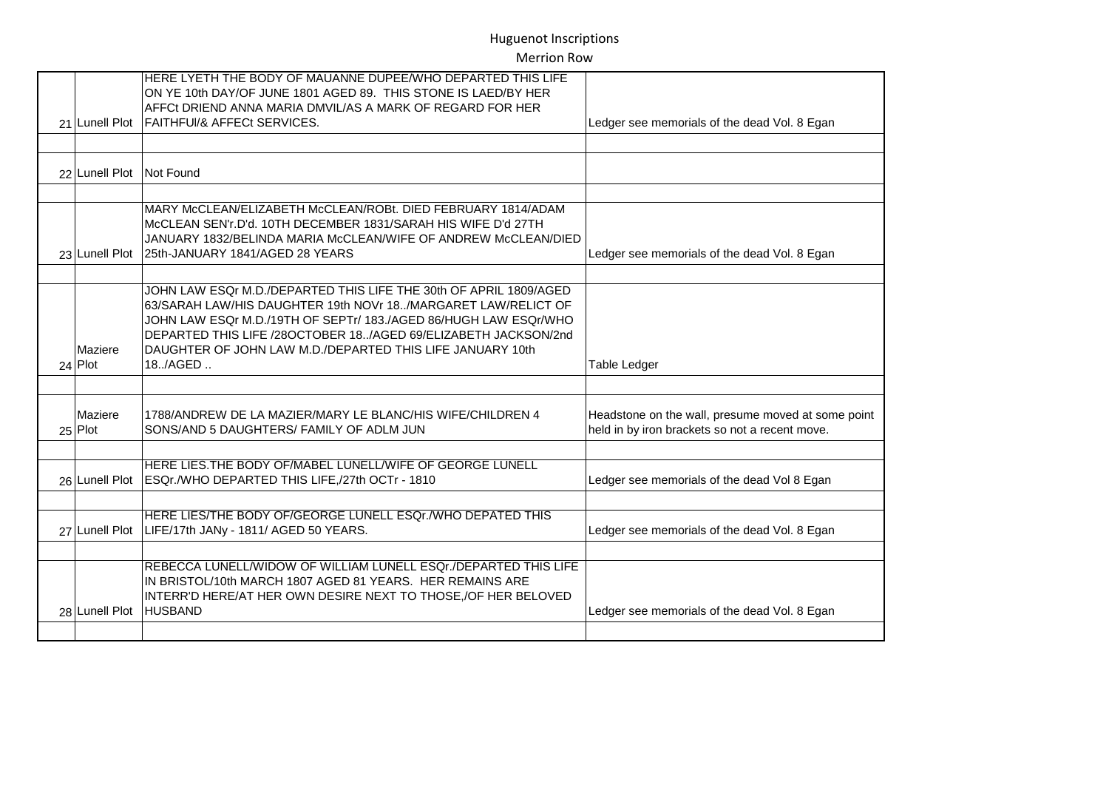|                          | HERE LYETH THE BODY OF MAUANNE DUPEE/WHO DEPARTED THIS LIFE                     |                                                    |
|--------------------------|---------------------------------------------------------------------------------|----------------------------------------------------|
|                          | ON YE 10th DAY/OF JUNE 1801 AGED 89. THIS STONE IS LAED/BY HER                  |                                                    |
|                          | AFFCt DRIEND ANNA MARIA DMVIL/AS A MARK OF REGARD FOR HER                       |                                                    |
|                          | 21 Lunell Plot   FAITHFUI/& AFFECt SERVICES.                                    | Ledger see memorials of the dead Vol. 8 Egan       |
|                          |                                                                                 |                                                    |
| 22 Lunell Plot Not Found |                                                                                 |                                                    |
|                          | MARY McCLEAN/ELIZABETH McCLEAN/ROBt. DIED FEBRUARY 1814/ADAM                    |                                                    |
|                          | McCLEAN SEN'r.D'd. 10TH DECEMBER 1831/SARAH HIS WIFE D'd 27TH                   |                                                    |
|                          | JANUARY 1832/BELINDA MARIA McCLEAN/WIFE OF ANDREW McCLEAN/DIED                  |                                                    |
| 23 Lunell Plot           | 25th-JANUARY 1841/AGED 28 YEARS                                                 | Ledger see memorials of the dead Vol. 8 Egan       |
|                          |                                                                                 |                                                    |
|                          | JOHN LAW ESQr M.D./DEPARTED THIS LIFE THE 30th OF APRIL 1809/AGED               |                                                    |
|                          | 63/SARAH LAW/HIS DAUGHTER 19th NOVr 18/MARGARET LAW/RELICT OF                   |                                                    |
|                          | JOHN LAW ESQr M.D./19TH OF SEPTr/ 183./AGED 86/HUGH LAW ESQr/WHO                |                                                    |
|                          | DEPARTED THIS LIFE /28OCTOBER 18/AGED 69/ELIZABETH JACKSON/2nd                  |                                                    |
| Maziere                  | DAUGHTER OF JOHN LAW M.D./DEPARTED THIS LIFE JANUARY 10th                       |                                                    |
| $24$ Plot                | 18./AGED                                                                        | Table Ledger                                       |
|                          |                                                                                 |                                                    |
| Maziere                  | 1788/ANDREW DE LA MAZIER/MARY LE BLANC/HIS WIFE/CHILDREN 4                      | Headstone on the wall, presume moved at some point |
| $25$ Plot                | SONS/AND 5 DAUGHTERS/ FAMILY OF ADLM JUN                                        | held in by iron brackets so not a recent move.     |
|                          |                                                                                 |                                                    |
|                          | HERE LIES. THE BODY OF/MABEL LUNELL/WIFE OF GEORGE LUNELL                       |                                                    |
| 26 Lunell Plot           | ESQr./WHO DEPARTED THIS LIFE,/27th OCTr - 1810                                  | Ledger see memorials of the dead Vol 8 Egan        |
|                          |                                                                                 |                                                    |
|                          | HERE LIES/THE BODY OF/GEORGE LUNELL ESQr./WHO DEPATED THIS                      |                                                    |
| 27 Lunell Plot           | LIFE/17th JANy - 1811/ AGED 50 YEARS.                                           | Ledger see memorials of the dead Vol. 8 Egan       |
|                          |                                                                                 |                                                    |
|                          | REBECCA LUNELL/WIDOW OF WILLIAM LUNELL ESQr./DEPARTED THIS LIFE                 |                                                    |
|                          | IN BRISTOL/10th MARCH 1807 AGED 81 YEARS. HER REMAINS ARE                       |                                                    |
| 28 Lunell Plot           | INTERR'D HERE/AT HER OWN DESIRE NEXT TO THOSE,/OF HER BELOVED<br><b>HUSBAND</b> | Ledger see memorials of the dead Vol. 8 Egan       |
|                          |                                                                                 |                                                    |
|                          |                                                                                 |                                                    |